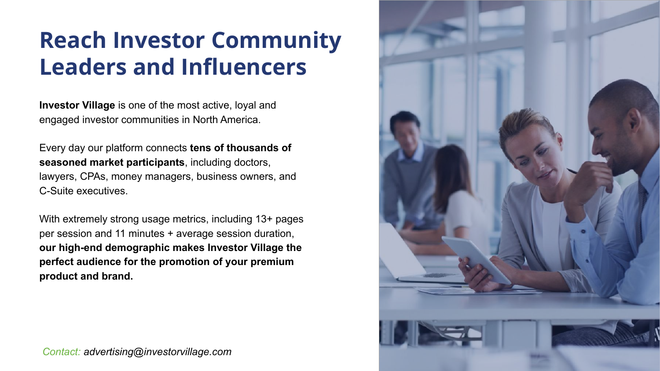**Investor Village** is one of the most active, loyal and engaged investor communities in North America.

Every day our platform connects **tens of thousands of seasoned market participants**, including doctors, lawyers, CPAs, money managers, business owners, and C-Suite executives.

With extremely strong usage metrics, including 13+ pages per session and 11 minutes + average session duration, **our high-end demographic makes Investor Village the perfect audience for the promotion of your premium product and brand.**

### **Reach Investor Community Leaders and Influencers**



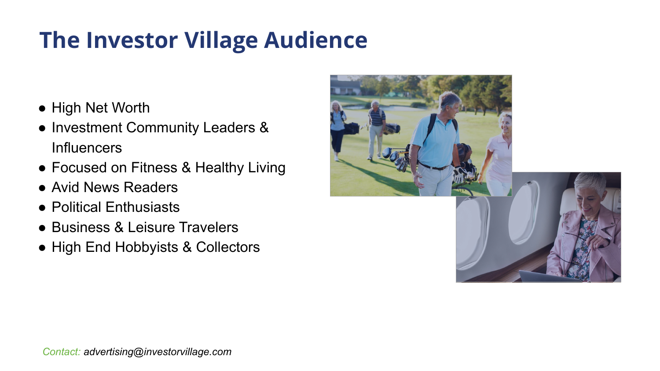- High Net Worth
- Investment Community Leaders & Influencers
- Focused on Fitness & Healthy Living
- Avid News Readers
- Political Enthusiasts
- Business & Leisure Travelers
- High End Hobbyists & Collectors

# **The Investor Village Audience**

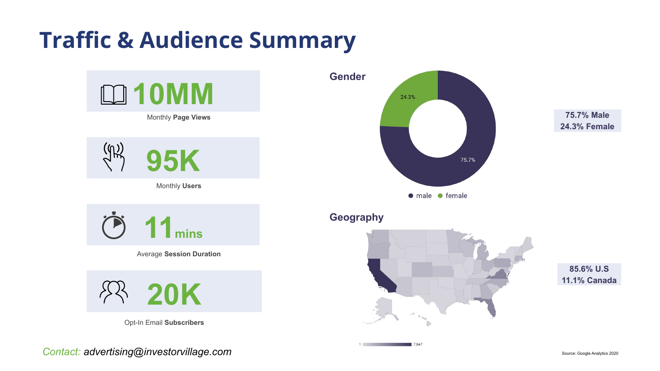





Monthly **Page Views**

Monthly **Users**

Average **Session Duration**



Opt-In Email **Subscribers**

**Contact: advertising@investorvillage.com** Source: Google Analytics 2020



 $\rho$  O

7,847

 $1 \quad \blacksquare$ 

## **Traffic & Audience Summary**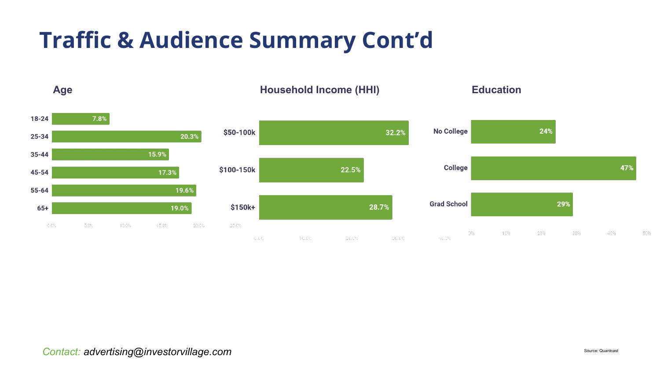

50%

# **Traffic & Audience Summary Cont'd**



*Contact: advertising@investorvillage.com*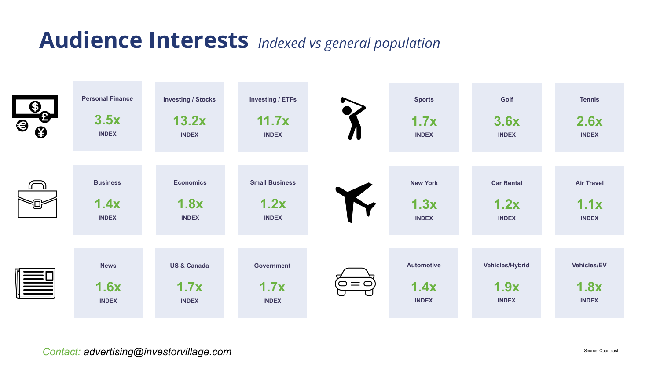

*Contact: advertising@investorvillage.com*



### **Audience Interests** *Indexed vs general population*

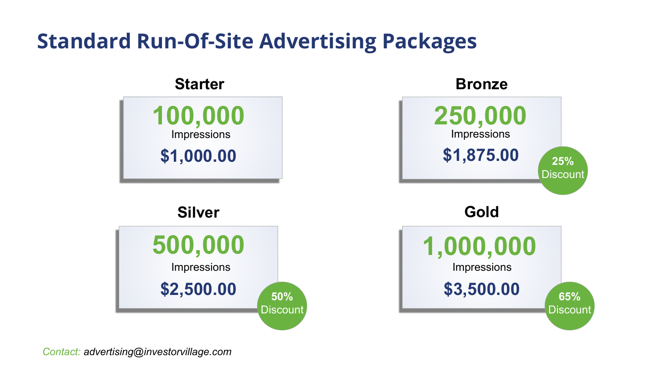### **Standard Run-Of-Site Advertising Packages**

*Contact: advertising@investorvillage.com*



#### **Silver**





#### **Starter Bronze**



#### **Gold**